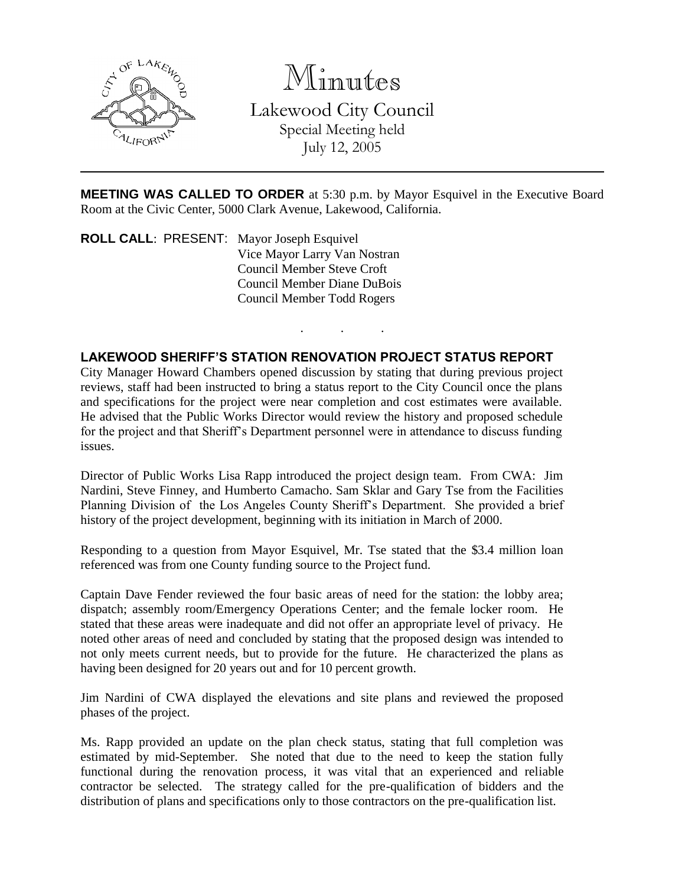

Minutes

Lakewood City Council Special Meeting held July 12, 2005

**MEETING WAS CALLED TO ORDER** at 5:30 p.m. by Mayor Esquivel in the Executive Board Room at the Civic Center, 5000 Clark Avenue, Lakewood, California.

. . .

**ROLL CALL**: PRESENT: Mayor Joseph Esquivel Vice Mayor Larry Van Nostran Council Member Steve Croft Council Member Diane DuBois Council Member Todd Rogers

#### **LAKEWOOD SHERIFF'S STATION RENOVATION PROJECT STATUS REPORT**

City Manager Howard Chambers opened discussion by stating that during previous project reviews, staff had been instructed to bring a status report to the City Council once the plans and specifications for the project were near completion and cost estimates were available. He advised that the Public Works Director would review the history and proposed schedule for the project and that Sheriff's Department personnel were in attendance to discuss funding issues.

Director of Public Works Lisa Rapp introduced the project design team. From CWA: Jim Nardini, Steve Finney, and Humberto Camacho. Sam Sklar and Gary Tse from the Facilities Planning Division of the Los Angeles County Sheriff's Department. She provided a brief history of the project development, beginning with its initiation in March of 2000.

Responding to a question from Mayor Esquivel, Mr. Tse stated that the \$3.4 million loan referenced was from one County funding source to the Project fund.

Captain Dave Fender reviewed the four basic areas of need for the station: the lobby area; dispatch; assembly room/Emergency Operations Center; and the female locker room. He stated that these areas were inadequate and did not offer an appropriate level of privacy. He noted other areas of need and concluded by stating that the proposed design was intended to not only meets current needs, but to provide for the future. He characterized the plans as having been designed for 20 years out and for 10 percent growth.

Jim Nardini of CWA displayed the elevations and site plans and reviewed the proposed phases of the project.

Ms. Rapp provided an update on the plan check status, stating that full completion was estimated by mid-September. She noted that due to the need to keep the station fully functional during the renovation process, it was vital that an experienced and reliable contractor be selected. The strategy called for the pre-qualification of bidders and the distribution of plans and specifications only to those contractors on the pre-qualification list.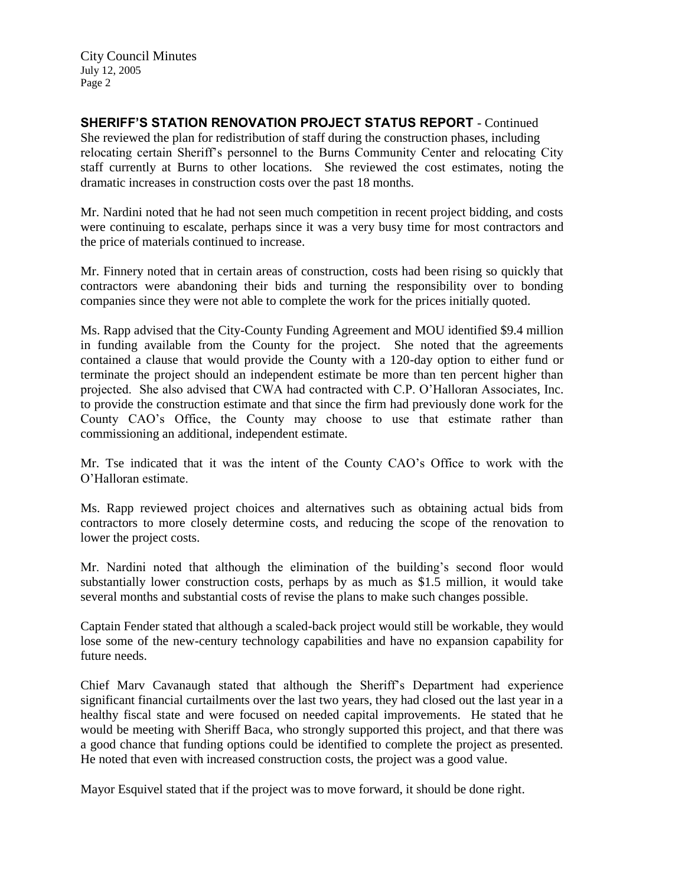**SHERIFF'S STATION RENOVATION PROJECT STATUS REPORT** - Continued She reviewed the plan for redistribution of staff during the construction phases, including relocating certain Sheriff's personnel to the Burns Community Center and relocating City staff currently at Burns to other locations. She reviewed the cost estimates, noting the dramatic increases in construction costs over the past 18 months.

Mr. Nardini noted that he had not seen much competition in recent project bidding, and costs were continuing to escalate, perhaps since it was a very busy time for most contractors and the price of materials continued to increase.

Mr. Finnery noted that in certain areas of construction, costs had been rising so quickly that contractors were abandoning their bids and turning the responsibility over to bonding companies since they were not able to complete the work for the prices initially quoted.

Ms. Rapp advised that the City-County Funding Agreement and MOU identified \$9.4 million in funding available from the County for the project. She noted that the agreements contained a clause that would provide the County with a 120-day option to either fund or terminate the project should an independent estimate be more than ten percent higher than projected. She also advised that CWA had contracted with C.P. O'Halloran Associates, Inc. to provide the construction estimate and that since the firm had previously done work for the County CAO's Office, the County may choose to use that estimate rather than commissioning an additional, independent estimate.

Mr. Tse indicated that it was the intent of the County CAO's Office to work with the O'Halloran estimate.

Ms. Rapp reviewed project choices and alternatives such as obtaining actual bids from contractors to more closely determine costs, and reducing the scope of the renovation to lower the project costs.

Mr. Nardini noted that although the elimination of the building's second floor would substantially lower construction costs, perhaps by as much as \$1.5 million, it would take several months and substantial costs of revise the plans to make such changes possible.

Captain Fender stated that although a scaled-back project would still be workable, they would lose some of the new-century technology capabilities and have no expansion capability for future needs.

Chief Marv Cavanaugh stated that although the Sheriff's Department had experience significant financial curtailments over the last two years, they had closed out the last year in a healthy fiscal state and were focused on needed capital improvements. He stated that he would be meeting with Sheriff Baca, who strongly supported this project, and that there was a good chance that funding options could be identified to complete the project as presented. He noted that even with increased construction costs, the project was a good value.

Mayor Esquivel stated that if the project was to move forward, it should be done right.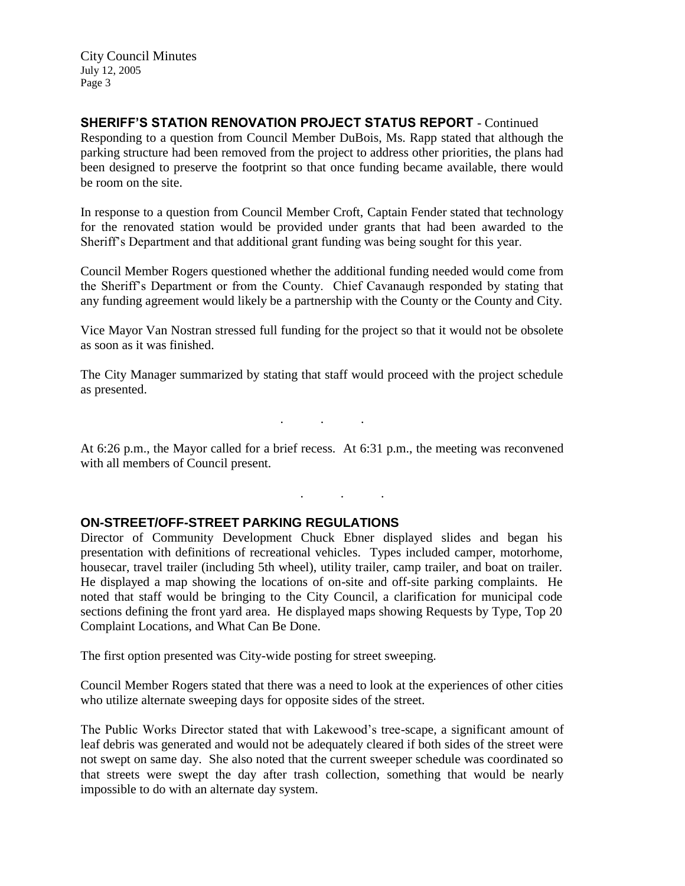**SHERIFF'S STATION RENOVATION PROJECT STATUS REPORT** - Continued Responding to a question from Council Member DuBois, Ms. Rapp stated that although the parking structure had been removed from the project to address other priorities, the plans had been designed to preserve the footprint so that once funding became available, there would be room on the site.

In response to a question from Council Member Croft, Captain Fender stated that technology for the renovated station would be provided under grants that had been awarded to the Sheriff's Department and that additional grant funding was being sought for this year.

Council Member Rogers questioned whether the additional funding needed would come from the Sheriff's Department or from the County. Chief Cavanaugh responded by stating that any funding agreement would likely be a partnership with the County or the County and City.

Vice Mayor Van Nostran stressed full funding for the project so that it would not be obsolete as soon as it was finished.

The City Manager summarized by stating that staff would proceed with the project schedule as presented.

. . .

At 6:26 p.m., the Mayor called for a brief recess. At 6:31 p.m., the meeting was reconvened with all members of Council present.

. . .

#### **ON-STREET/OFF-STREET PARKING REGULATIONS**

Director of Community Development Chuck Ebner displayed slides and began his presentation with definitions of recreational vehicles. Types included camper, motorhome, housecar, travel trailer (including 5th wheel), utility trailer, camp trailer, and boat on trailer. He displayed a map showing the locations of on-site and off-site parking complaints. He noted that staff would be bringing to the City Council, a clarification for municipal code sections defining the front yard area. He displayed maps showing Requests by Type, Top 20 Complaint Locations, and What Can Be Done.

The first option presented was City-wide posting for street sweeping.

Council Member Rogers stated that there was a need to look at the experiences of other cities who utilize alternate sweeping days for opposite sides of the street.

The Public Works Director stated that with Lakewood's tree-scape, a significant amount of leaf debris was generated and would not be adequately cleared if both sides of the street were not swept on same day. She also noted that the current sweeper schedule was coordinated so that streets were swept the day after trash collection, something that would be nearly impossible to do with an alternate day system.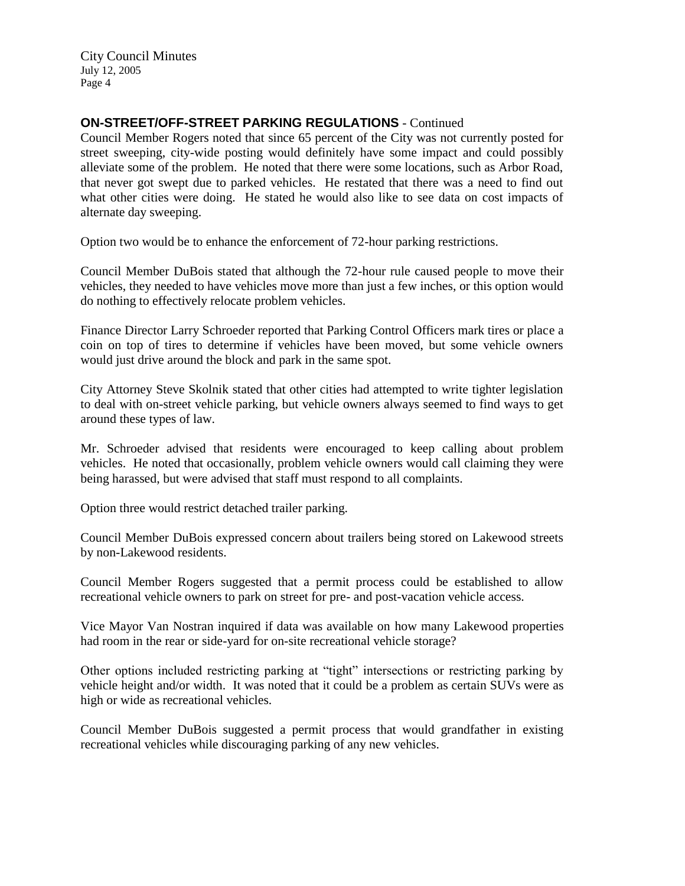# **ON-STREET/OFF-STREET PARKING REGULATIONS** - Continued

Council Member Rogers noted that since 65 percent of the City was not currently posted for street sweeping, city-wide posting would definitely have some impact and could possibly alleviate some of the problem. He noted that there were some locations, such as Arbor Road, that never got swept due to parked vehicles. He restated that there was a need to find out what other cities were doing. He stated he would also like to see data on cost impacts of alternate day sweeping.

Option two would be to enhance the enforcement of 72-hour parking restrictions.

Council Member DuBois stated that although the 72-hour rule caused people to move their vehicles, they needed to have vehicles move more than just a few inches, or this option would do nothing to effectively relocate problem vehicles.

Finance Director Larry Schroeder reported that Parking Control Officers mark tires or place a coin on top of tires to determine if vehicles have been moved, but some vehicle owners would just drive around the block and park in the same spot.

City Attorney Steve Skolnik stated that other cities had attempted to write tighter legislation to deal with on-street vehicle parking, but vehicle owners always seemed to find ways to get around these types of law.

Mr. Schroeder advised that residents were encouraged to keep calling about problem vehicles. He noted that occasionally, problem vehicle owners would call claiming they were being harassed, but were advised that staff must respond to all complaints.

Option three would restrict detached trailer parking.

Council Member DuBois expressed concern about trailers being stored on Lakewood streets by non-Lakewood residents.

Council Member Rogers suggested that a permit process could be established to allow recreational vehicle owners to park on street for pre- and post-vacation vehicle access.

Vice Mayor Van Nostran inquired if data was available on how many Lakewood properties had room in the rear or side-yard for on-site recreational vehicle storage?

Other options included restricting parking at "tight" intersections or restricting parking by vehicle height and/or width. It was noted that it could be a problem as certain SUVs were as high or wide as recreational vehicles.

Council Member DuBois suggested a permit process that would grandfather in existing recreational vehicles while discouraging parking of any new vehicles.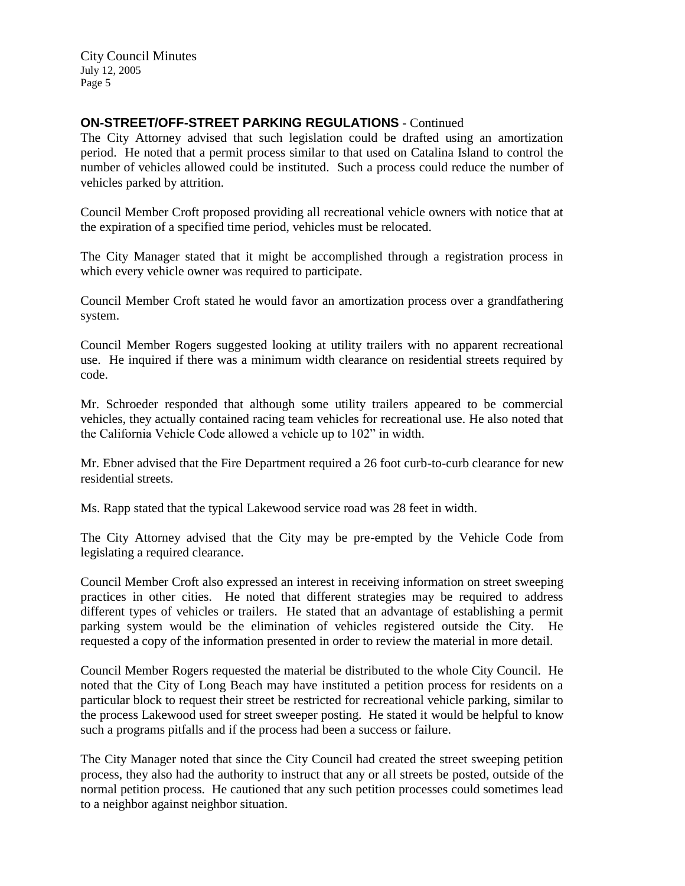## **ON-STREET/OFF-STREET PARKING REGULATIONS** - Continued

The City Attorney advised that such legislation could be drafted using an amortization period. He noted that a permit process similar to that used on Catalina Island to control the number of vehicles allowed could be instituted. Such a process could reduce the number of vehicles parked by attrition.

Council Member Croft proposed providing all recreational vehicle owners with notice that at the expiration of a specified time period, vehicles must be relocated.

The City Manager stated that it might be accomplished through a registration process in which every vehicle owner was required to participate.

Council Member Croft stated he would favor an amortization process over a grandfathering system.

Council Member Rogers suggested looking at utility trailers with no apparent recreational use. He inquired if there was a minimum width clearance on residential streets required by code.

Mr. Schroeder responded that although some utility trailers appeared to be commercial vehicles, they actually contained racing team vehicles for recreational use. He also noted that the California Vehicle Code allowed a vehicle up to 102" in width.

Mr. Ebner advised that the Fire Department required a 26 foot curb-to-curb clearance for new residential streets.

Ms. Rapp stated that the typical Lakewood service road was 28 feet in width.

The City Attorney advised that the City may be pre-empted by the Vehicle Code from legislating a required clearance.

Council Member Croft also expressed an interest in receiving information on street sweeping practices in other cities. He noted that different strategies may be required to address different types of vehicles or trailers. He stated that an advantage of establishing a permit parking system would be the elimination of vehicles registered outside the City. He requested a copy of the information presented in order to review the material in more detail.

Council Member Rogers requested the material be distributed to the whole City Council. He noted that the City of Long Beach may have instituted a petition process for residents on a particular block to request their street be restricted for recreational vehicle parking, similar to the process Lakewood used for street sweeper posting. He stated it would be helpful to know such a programs pitfalls and if the process had been a success or failure.

The City Manager noted that since the City Council had created the street sweeping petition process, they also had the authority to instruct that any or all streets be posted, outside of the normal petition process. He cautioned that any such petition processes could sometimes lead to a neighbor against neighbor situation.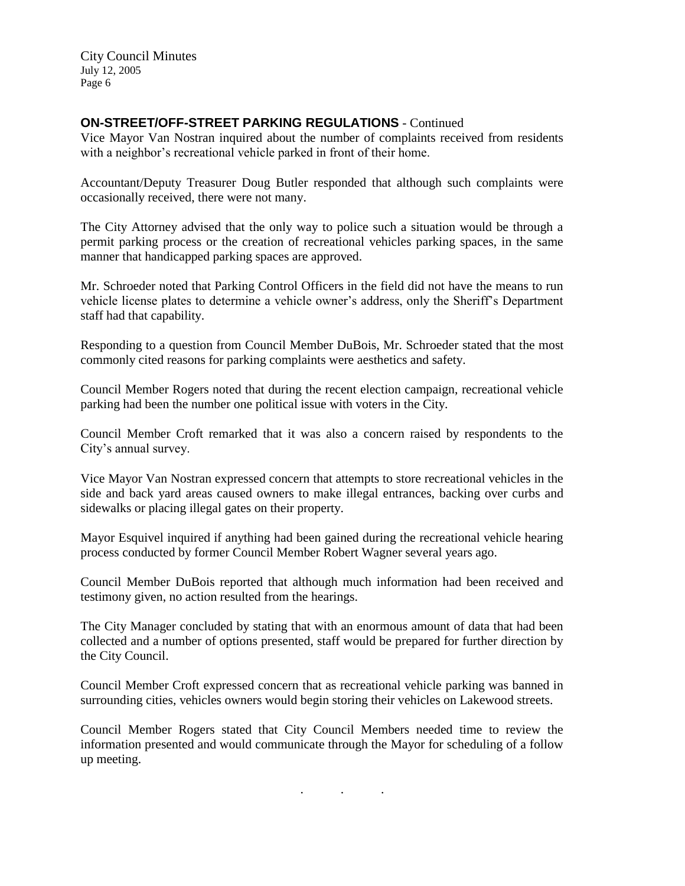## **ON-STREET/OFF-STREET PARKING REGULATIONS** - Continued

Vice Mayor Van Nostran inquired about the number of complaints received from residents with a neighbor's recreational vehicle parked in front of their home.

Accountant/Deputy Treasurer Doug Butler responded that although such complaints were occasionally received, there were not many.

The City Attorney advised that the only way to police such a situation would be through a permit parking process or the creation of recreational vehicles parking spaces, in the same manner that handicapped parking spaces are approved.

Mr. Schroeder noted that Parking Control Officers in the field did not have the means to run vehicle license plates to determine a vehicle owner's address, only the Sheriff's Department staff had that capability.

Responding to a question from Council Member DuBois, Mr. Schroeder stated that the most commonly cited reasons for parking complaints were aesthetics and safety.

Council Member Rogers noted that during the recent election campaign, recreational vehicle parking had been the number one political issue with voters in the City.

Council Member Croft remarked that it was also a concern raised by respondents to the City's annual survey.

Vice Mayor Van Nostran expressed concern that attempts to store recreational vehicles in the side and back yard areas caused owners to make illegal entrances, backing over curbs and sidewalks or placing illegal gates on their property.

Mayor Esquivel inquired if anything had been gained during the recreational vehicle hearing process conducted by former Council Member Robert Wagner several years ago.

Council Member DuBois reported that although much information had been received and testimony given, no action resulted from the hearings.

The City Manager concluded by stating that with an enormous amount of data that had been collected and a number of options presented, staff would be prepared for further direction by the City Council.

Council Member Croft expressed concern that as recreational vehicle parking was banned in surrounding cities, vehicles owners would begin storing their vehicles on Lakewood streets.

Council Member Rogers stated that City Council Members needed time to review the information presented and would communicate through the Mayor for scheduling of a follow up meeting.

. . .